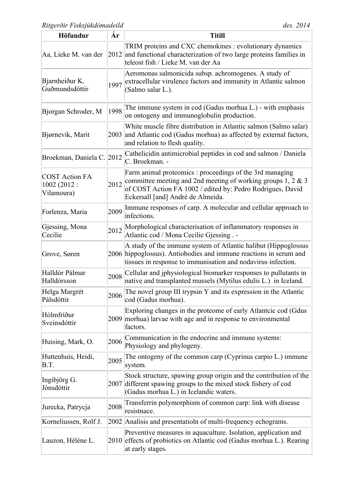| Höfundur                                            | Ár   | <b>Titill</b>                                                                                                                                                                                                                  |
|-----------------------------------------------------|------|--------------------------------------------------------------------------------------------------------------------------------------------------------------------------------------------------------------------------------|
| Aa, Lieke M. van der                                |      | TRIM proteins and CXC chemokines : evolutionary dynamics<br>2012 and functional characterization of two large proteins families in<br>teleost fish / Lieke M. van der Aa                                                       |
| Bjarnheiður K.<br>Guðmundsdóttir                    | 1997 | Aeromonas salmonicida subsp. achromogenes. A study of<br>extracellular virulence factors and immunity in Atlantic salmon<br>(Salmo salar L.).                                                                                  |
| Bjorgan Schroder, M                                 | 1998 | The immune system in cod (Gadus morhua L.) - with emphasis<br>on ontogeny and immunoglobulin production.                                                                                                                       |
| Bjørnevik, Marit                                    | 2003 | White muscle fibre distribution in Atlantic salmon (Salmo salar)<br>and Atlantic cod (Gadus morhua) as affected by external factors,<br>and relation to flesh quality.                                                         |
| Broekman, Daniela C. 2012                           |      | Cathelicidin antimicrobial peptides in cod and salmon / Daniela<br>C. Broekman. -                                                                                                                                              |
| <b>COST Action FA</b><br>1002 (2012 :<br>Vilamoura) | 2012 | Farm animal proteomics : proceedings of the 3rd managing<br>committee meeting and 2nd meeting of working groups 1, 2 $\&$ 3<br>of COST Action FA 1002 / edited by: Pedro Rodrigues, David<br>Eckersall [and] André de Almeida. |
| Forlenza, Maria                                     | 2009 | Immune responses of carp. A molecular and cellular approach to<br>infections.                                                                                                                                                  |
| Gjessing, Mona<br>Cecilie                           | 2012 | Morphological characterisation of inflammatory responses in<br>Atlantic cod / Mona Cecilie Gjessing . -                                                                                                                        |
| Grove, Søren                                        |      | A study of the immune system of Atlantic halibut (Hippoglossus<br>2006 hippoglossus). Antiobodies and immune reactions in serum and<br>tissues in response to immunisation and nodavirus infection.                            |
| Halldór Pálmar<br>Halldórsson                       | 2008 | Cellular and iphysiological biomarker responses to pullutants in<br>native and transplanted mussels (Mytilus edulis L.) in Iceland.                                                                                            |
| Helga Margrét<br>Pálsdóttir                         |      | $2006$ The novel group III trypsin Y and its expression in the Atlantic<br>cod (Gadus morhua).                                                                                                                                 |
| Hólmfríður<br>Sveinsdóttir                          |      | Exploring changes in the proteome of early Atlantcic cod (Gdus<br>2009 morhua) larvae with age and in response to environmental<br>factors.                                                                                    |
| Huising, Mark, O.                                   | 2006 | Communication in the endocrine and immune systems:<br>Physiology and phylogeny.                                                                                                                                                |
| Huttenhuis, Heidi,<br>B.T.                          | 2005 | The ontogeny of the common carp (Cyprinus carpio $L$ .) immune<br>system.                                                                                                                                                      |
| Ingibjörg G.<br>Jónsdóttir                          |      | Stock structure, spawing group origin and the contribution of the<br>2007 different spawing groups to the mixed stock fishery of cod<br>(Gadus morhua L.) in Icelandic waters.                                                 |
| Jurecka, Patrycja                                   | 2008 | Transferrin polymorphism of common carp: link with disease<br>resistnace.                                                                                                                                                      |
| Korneliussen, Rolf J.                               |      | 2002 Analisis and presentatioln of multi-frequency echograms.                                                                                                                                                                  |
| Lauzon, Héléne L.                                   |      | Preventive measures in aquaculture. Isolation, application and<br>2010 effects of probiotics on Atlantic cod (Gadus morhua L.). Rearing<br>at early stages.                                                                    |